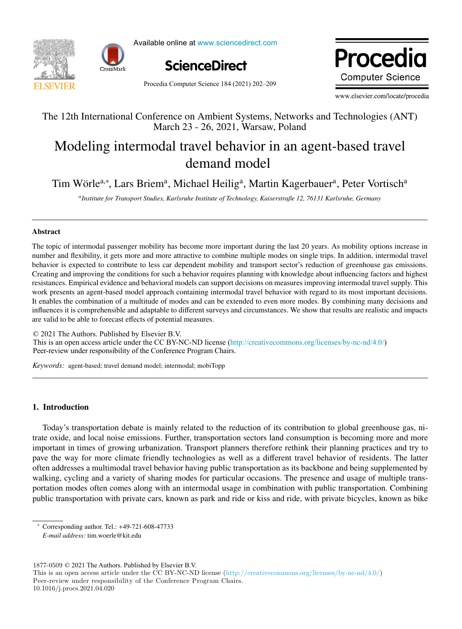



Available online at www.sciencedirect.com



Procedia Computer Science 184 (2021) 202-209

Procedia **Computer Science** 

www.elsevier.com/locate/procedia

### The 12th International Conference on Ambient Systems, Networks and Technologies (ANT) The 12th International Conference on Ambient Systems, Networks and Technologies (ANT) March 23 - 26, 2021, Warsaw, Poland

# Modeling intermodal travel behavior in an agent-based travel Modeling intermodal travel behavior in an agent-based travel demand model demand model

Tim Wörle<sup>a,∗</sup>, Lars Briem<sup>a</sup>, Michael Heilig<sup>a</sup>, Martin Kagerbauer<sup>a</sup>, Peter Vortisch<sup>a</sup>

an Correct Correct Correct Correct Correct Correct Correct Correct Correct Correct Correct Correct Correct Co<br>Anstitute for Transport Studies, Karlsruhe Institute of Technology, Kaiserstraße 12, 76131 Karlsruhe, Germany

## Abstract Abstract

The topic of intermodal passenger mobility has become more important during the last 20 years. As mobility options increase in The topic of intermodal passenger mobility has become more important during the last 20 years. As mobility options increase in number and flexibility, it gets more and more attractive to combine multiple modes on single trips. In addition, intermodal travel behavior is expected to contribute to less car dependent mobility and transport sector's reduction of greenhouse gas emissions. Creating and improving the conditions for such a behavior requires planning with knowledge about influencing factors and highest resistances. Empirical evidence and behavioral models can support decisions on measures improving intermodal travel supply. This work presents an agent-based model approach containing intermodal travel behavior with regard to its most important decisions. It enables the combination of a multitude of modes and can be extended to even more modes. By combining many decisions and influences it is comprehensible and adaptable to different surveys and circumstances. We show that results are realistic and impacts are valid to be able to forecast effects of potential measures.

© 2021 The Authors. Published by Elsevier B.V. © 2020 The Authors. Published by Elsevier B.V. This is an open access article under the CC BY-NC-ND license ([http://creativecommons.org/licenses/by-nc-nd/4.0/\)](http://creativecommons.org/licenses/by-nc-nd/4.0/) Peer-review under responsibility of the Conference Program Chairs. Peer-review under responsibility of the Conference Program Chairs.

*Keywords:* agent-based; travel demand model; intermodal; mobiTopp *Keywords:* agent-based; travel demand model; intermodal; mobiTopp

### 1. Introduction

Today's transportation debate is mainly related to the reduction of its contribution to global greenhouse gas, nitrate oxide, and local noise emissions. Further, transportation sectors land consumption is becoming more and more important in times of growing urbanization. Transport planners therefore rethink their planning practices and try to pave the way for more climate friendly technologies as well as a different travel behavior of residents. The latter often addresses a multimodal travel behavior having public transportation as its backbone and being supplemented by walking, cycling and a variety of sharing modes for particular occasions. The presence and usage of multiple transportation modes often comes along with an intermodal usage in combination with public transportation. Combining public transportation with private cars, known as park and ride or kiss and ride, with private bicycles, known as bike public transportation with private cars, known as park and ride or kiss and ride, with private bicycles, known as bikees  $k$ 

1877-0509 © 2021 The Authors. Published by Elsevier B.V.

<sup>∗</sup> Corresponding author. Tel.: +49-721-608-47733

*E-mail address:* tim.woerle@kit.edu

This is an open access article under the CC BY-NC-ND license (http://creativecommons.org/licenses/by-nc-nd/4.0/) Peer-review under responsibility of the Conference Program Chairs. 10.1016/j.procs.2021.04.020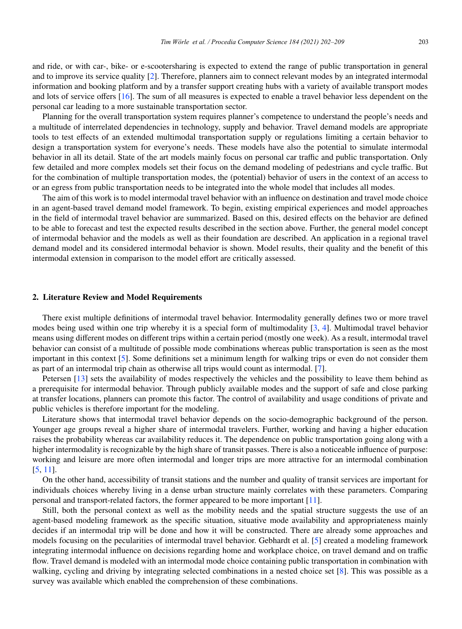and ride, or with car-, bike- or e-scootersharing is expected to extend the range of public transportation in general and to improve its service quality [2]. Therefore, planners aim to connect relevant modes by an integrated intermodal information and booking platform and by a transfer support creating hubs with a variety of available transport modes and lots of service offers [16]. The sum of all measures is expected to enable a travel behavior less dependent on the personal car leading to a more sustainable transportation sector.

Planning for the overall transportation system requires planner's competence to understand the people's needs and a multitude of interrelated dependencies in technology, supply and behavior. Travel demand models are appropriate tools to test effects of an extended multimodal transportation supply or regulations limiting a certain behavior to design a transportation system for everyone's needs. These models have also the potential to simulate intermodal behavior in all its detail. State of the art models mainly focus on personal car traffic and public transportation. Only few detailed and more complex models set their focus on the demand modeling of pedestrians and cycle traffic. But for the combination of multiple transportation modes, the (potential) behavior of users in the context of an access to or an egress from public transportation needs to be integrated into the whole model that includes all modes.

The aim of this work is to model intermodal travel behavior with an influence on destination and travel mode choice in an agent-based travel demand model framework. To begin, existing empirical experiences and model approaches in the field of intermodal travel behavior are summarized. Based on this, desired effects on the behavior are defined to be able to forecast and test the expected results described in the section above. Further, the general model concept of intermodal behavior and the models as well as their foundation are described. An application in a regional travel demand model and its considered intermodal behavior is shown. Model results, their quality and the benefit of this intermodal extension in comparison to the model effort are critically assessed.

#### 2. Literature Review and Model Requirements

There exist multiple definitions of intermodal travel behavior. Intermodality generally defines two or more travel modes being used within one trip whereby it is a special form of multimodality [3, 4]. Multimodal travel behavior means using different modes on different trips within a certain period (mostly one week). As a result, intermodal travel behavior can consist of a multitude of possible mode combinations whereas public transportation is seen as the most important in this context [5]. Some definitions set a minimum length for walking trips or even do not consider them as part of an intermodal trip chain as otherwise all trips would count as intermodal. [7].

Petersen [13] sets the availability of modes respectively the vehicles and the possibility to leave them behind as a prerequisite for intermodal behavior. Through publicly available modes and the support of safe and close parking at transfer locations, planners can promote this factor. The control of availability and usage conditions of private and public vehicles is therefore important for the modeling.

Literature shows that intermodal travel behavior depends on the socio-demographic background of the person. Younger age groups reveal a higher share of intermodal travelers. Further, working and having a higher education raises the probability whereas car availability reduces it. The dependence on public transportation going along with a higher intermodality is recognizable by the high share of transit passes. There is also a noticeable influence of purpose: working and leisure are more often intermodal and longer trips are more attractive for an intermodal combination [5, 11].

On the other hand, accessibility of transit stations and the number and quality of transit services are important for individuals choices whereby living in a dense urban structure mainly correlates with these parameters. Comparing personal and transport-related factors, the former appeared to be more important [11].

Still, both the personal context as well as the mobility needs and the spatial structure suggests the use of an agent-based modeling framework as the specific situation, situative mode availability and appropriateness mainly decides if an intermodal trip will be done and how it will be constructed. There are already some approaches and models focusing on the pecularities of intermodal travel behavior. Gebhardt et al. [5] created a modeling framework integrating intermodal influence on decisions regarding home and workplace choice, on travel demand and on traffic flow. Travel demand is modeled with an intermodal mode choice containing public transportation in combination with walking, cycling and driving by integrating selected combinations in a nested choice set [8]. This was possible as a survey was available which enabled the comprehension of these combinations.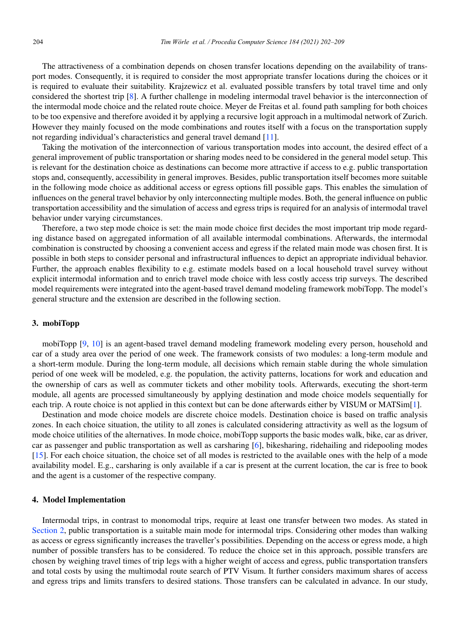The attractiveness of a combination depends on chosen transfer locations depending on the availability of transport modes. Consequently, it is required to consider the most appropriate transfer locations during the choices or it is required to evaluate their suitability. Krajzewicz et al. evaluated possible transfers by total travel time and only considered the shortest trip [8]. A further challenge in modeling intermodal travel behavior is the interconnection of the intermodal mode choice and the related route choice. Meyer de Freitas et al. found path sampling for both choices to be too expensive and therefore avoided it by applying a recursive logit approach in a multimodal network of Zurich. However they mainly focused on the mode combinations and routes itself with a focus on the transportation supply not regarding individual's characteristics and general travel demand [11].

Taking the motivation of the interconnection of various transportation modes into account, the desired effect of a general improvement of public transportation or sharing modes need to be considered in the general model setup. This is relevant for the destination choice as destinations can become more attractive if access to e.g. public transportation stops and, consequently, accessibility in general improves. Besides, public transportation itself becomes more suitable in the following mode choice as additional access or egress options fill possible gaps. This enables the simulation of influences on the general travel behavior by only interconnecting multiple modes. Both, the general influence on public transportation accessibility and the simulation of access and egress trips is required for an analysis of intermodal travel behavior under varying circumstances.

Therefore, a two step mode choice is set: the main mode choice first decides the most important trip mode regarding distance based on aggregated information of all available intermodal combinations. Afterwards, the intermodal combination is constructed by choosing a convenient access and egress if the related main mode was chosen first. It is possible in both steps to consider personal and infrastructural influences to depict an appropriate individual behavior. Further, the approach enables flexibility to e.g. estimate models based on a local household travel survey without explicit intermodal information and to enrich travel mode choice with less costly access trip surveys. The described model requirements were integrated into the agent-based travel demand modeling framework mobiTopp. The model's general structure and the extension are described in the following section.

#### 3. mobiTopp

mobiTopp [9, 10] is an agent-based travel demand modeling framework modeling every person, household and car of a study area over the period of one week. The framework consists of two modules: a long-term module and a short-term module. During the long-term module, all decisions which remain stable during the whole simulation period of one week will be modeled, e.g. the population, the activity patterns, locations for work and education and the ownership of cars as well as commuter tickets and other mobility tools. Afterwards, executing the short-term module, all agents are processed simultaneously by applying destination and mode choice models sequentially for each trip. A route choice is not applied in this context but can be done afterwards either by VISUM or MATSim[1].

Destination and mode choice models are discrete choice models. Destination choice is based on traffic analysis zones. In each choice situation, the utility to all zones is calculated considering attractivity as well as the logsum of mode choice utilities of the alternatives. In mode choice, mobiTopp supports the basic modes walk, bike, car as driver, car as passenger and public transportation as well as carsharing [6], bikesharing, ridehailing and ridepooling modes [15]. For each choice situation, the choice set of all modes is restricted to the available ones with the help of a mode availability model. E.g., carsharing is only available if a car is present at the current location, the car is free to book and the agent is a customer of the respective company.

#### 4. Model Implementation

Intermodal trips, in contrast to monomodal trips, require at least one transfer between two modes. As stated in Section 2, public transportation is a suitable main mode for intermodal trips. Considering other modes than walking as access or egress significantly increases the traveller's possibilities. Depending on the access or egress mode, a high number of possible transfers has to be considered. To reduce the choice set in this approach, possible transfers are chosen by weighing travel times of trip legs with a higher weight of access and egress, public transportation transfers and total costs by using the multimodal route search of PTV Visum. It further considers maximum shares of access and egress trips and limits transfers to desired stations. Those transfers can be calculated in advance. In our study,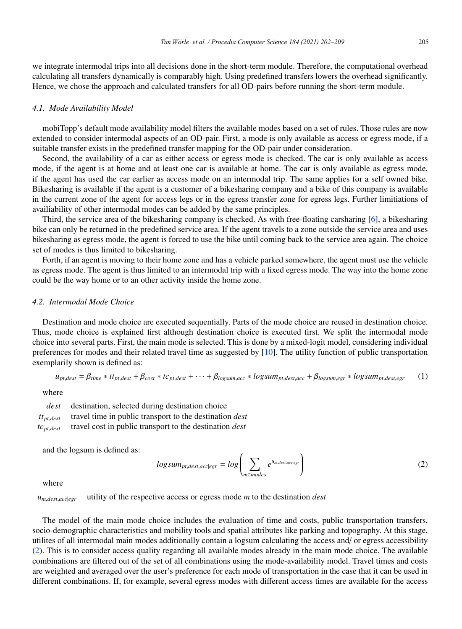we integrate intermodal trips into all decisions done in the short-term module. Therefore, the computational overhead calculating all transfers dynamically is comparably high. Using predefined transfers lowers the overhead significantly. Hence, we chose the approach and calculated transfers for all OD-pairs before running the short-term module.

#### *4.1. Mode Availability Model*

mobiTopp's default mode availability model filters the available modes based on a set of rules. Those rules are now extended to consider intermodal aspects of an OD-pair. First, a mode is only available as access or egress mode, if a suitable transfer exists in the predefined transfer mapping for the OD-pair under consideration.

Second, the availability of a car as either access or egress mode is checked. The car is only available as access mode, if the agent is at home and at least one car is available at home. The car is only available as egress mode, if the agent has used the car earlier as access mode on an intermodal trip. The same applies for a self owned bike. Bikesharing is available if the agent is a customer of a bikesharing company and a bike of this company is available in the current zone of the agent for access legs or in the egress transfer zone for egress legs. Further limitiations of availiability of other intermodal modes can be added by the same principles.

Third, the service area of the bikesharing company is checked. As with free-floating carsharing [6], a bikesharing bike can only be returned in the predefined service area. If the agent travels to a zone outside the service area and uses bikesharing as egress mode, the agent is forced to use the bike until coming back to the service area again. The choice set of modes is thus limited to bikesharing.

Forth, if an agent is moving to their home zone and has a vehicle parked somewhere, the agent must use the vehicle as egress mode. The agent is thus limited to an intermodal trip with a fixed egress mode. The way into the home zone could be the way home or to an other activity inside the home zone.

#### *4.2. Intermodal Mode Choice*

Destination and mode choice are executed sequentially. Parts of the mode choice are reused in destination choice. Thus, mode choice is explained first although destination choice is executed first. We split the intermodal mode choice into several parts. First, the main mode is selected. This is done by a mixed-logit model, considering individual preferences for modes and their related travel time as suggested by [10]. The utility function of public transportation exemplarily shown is defined as:

$$
u_{pt,dest} = \beta_{time} * t t_{pt,dest} + \beta_{cost} * t c_{pt,dest} + \dots + \beta_{logsum,acc} * logsum_{pt,dest,acc} + \beta_{logsum,egr} * logsum_{pt,dest,egr}
$$
 (1)

where

*dest* destination, selected during destination choice *ttpt*,*dest* travel time in public transport to the destination *dest tcpt*,*dest* travel cost in public transport to the destination *dest*

and the logsum is defined as:

$$
logsum_{pt, dest, acc|egr} = log \left( \sum_{m \in modes} e^{u_{m, dest, acc|egr}} \right)
$$
 (2)

where

*um*,*dest*,*acc*|*egr* utility of the respective access or egress mode *m* to the destination *dest*

The model of the main mode choice includes the evaluation of time and costs, public transportation transfers, socio-demographic characteristics and mobility tools and spatial attributes like parking and topography. At this stage, utilites of all intermodal main modes additionally contain a logsum calculating the access and/ or egress accessibility (2). This is to consider access quality regarding all available modes already in the main mode choice. The available combinations are filtered out of the set of all combinations using the mode-availability model. Travel times and costs are weighted and averaged over the user's preference for each mode of transportation in the case that it can be used in different combinations. If, for example, several egress modes with different access times are available for the access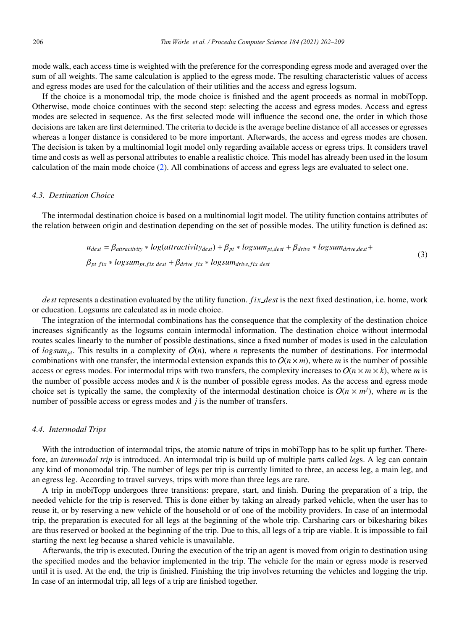mode walk, each access time is weighted with the preference for the corresponding egress mode and averaged over the sum of all weights. The same calculation is applied to the egress mode. The resulting characteristic values of access and egress modes are used for the calculation of their utilities and the access and egress logsum.

If the choice is a monomodal trip, the mode choice is finished and the agent proceeds as normal in mobiTopp. Otherwise, mode choice continues with the second step: selecting the access and egress modes. Access and egress modes are selected in sequence. As the first selected mode will influence the second one, the order in which those decisions are taken are first determined. The criteria to decide is the average beeline distance of all accesses or egresses whereas a longer distance is considered to be more important. Afterwards, the access and egress modes are chosen. The decision is taken by a multinomial logit model only regarding available access or egress trips. It considers travel time and costs as well as personal attributes to enable a realistic choice. This model has already been used in the losum calculation of the main mode choice (2). All combinations of access and egress legs are evaluated to select one.

#### *4.3. Destination Choice*

The intermodal destination choice is based on a multinomial logit model. The utility function contains attributes of the relation between origin and destination depending on the set of possible modes. The utility function is defined as:

$$
u_{dest} = \beta_{attractiveity} * log(attractivity_{dest}) + \beta_{pt} * logsum_{pt, dest} + \beta_{drive} * logsum_{drive, dest} + \beta_{pt\_fix} * logsum_{pt, fix} * logsum_{pt, fix} * logsum_{pt, fix} + \beta_{drive\_fix} * logsum_{drive\_fix} * logsum_{drive\_fix} * logsum_{drive\_fix} * \beta_{time\_fix}
$$
(3)

*dest* represents a destination evaluated by the utility function. *fix dest* is the next fixed destination, i.e. home, work or education. Logsums are calculated as in mode choice.

The integration of the intermodal combinations has the consequence that the complexity of the destination choice increases significantly as the logsums contain intermodal information. The destination choice without intermodal routes scales linearly to the number of possible destinations, since a fixed number of modes is used in the calculation of  $logsum_{pt}$ . This results in a complexity of  $O(n)$ , where *n* represents the number of destinations. For intermodal combinations with one transfer, the intermodal extension expands this to  $O(n \times m)$ , where *m* is the number of possible access or egress modes. For intermodal trips with two transfers, the complexity increases to  $O(n \times m \times k)$ , where *m* is the number of possible access modes and *k* is the number of possible egress modes. As the access and egress mode choice set is typically the same, the complexity of the intermodal destination choice is  $O(n \times m^j)$ , where *m* is the number of possible access or egress modes and *j* is the number of transfers.

#### *4.4. Intermodal Trips*

With the introduction of intermodal trips, the atomic nature of trips in mobiTopp has to be split up further. Therefore, an *intermodal trip* is introduced. An intermodal trip is build up of multiple parts called *leg*s. A leg can contain any kind of monomodal trip. The number of legs per trip is currently limited to three, an access leg, a main leg, and an egress leg. According to travel surveys, trips with more than three legs are rare.

A trip in mobiTopp undergoes three transitions: prepare, start, and finish. During the preparation of a trip, the needed vehicle for the trip is reserved. This is done either by taking an already parked vehicle, when the user has to reuse it, or by reserving a new vehicle of the household or of one of the mobility providers. In case of an intermodal trip, the preparation is executed for all legs at the beginning of the whole trip. Carsharing cars or bikesharing bikes are thus reserved or booked at the beginning of the trip. Due to this, all legs of a trip are viable. It is impossible to fail starting the next leg because a shared vehicle is unavailable.

Afterwards, the trip is executed. During the execution of the trip an agent is moved from origin to destination using the specified modes and the behavior implemented in the trip. The vehicle for the main or egress mode is reserved until it is used. At the end, the trip is finished. Finishing the trip involves returning the vehicles and logging the trip. In case of an intermodal trip, all legs of a trip are finished together.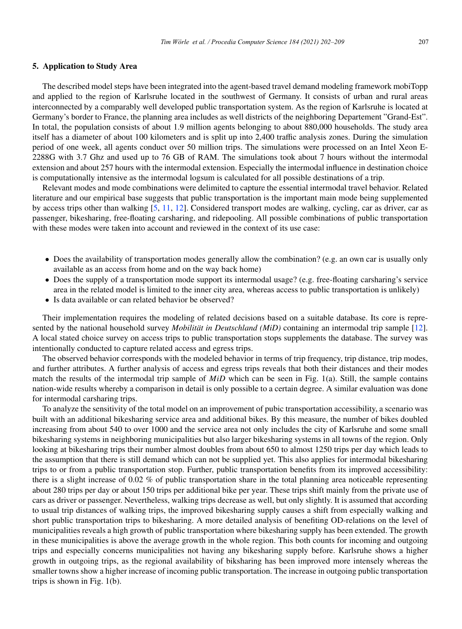#### 5. Application to Study Area

The described model steps have been integrated into the agent-based travel demand modeling framework mobiTopp and applied to the region of Karlsruhe located in the southwest of Germany. It consists of urban and rural areas interconnected by a comparably well developed public transportation system. As the region of Karlsruhe is located at Germany's border to France, the planning area includes as well districts of the neighboring Departement "Grand-Est". In total, the population consists of about 1.9 million agents belonging to about 880,000 households. The study area itself has a diameter of about 100 kilometers and is split up into 2,400 traffic analysis zones. During the simulation period of one week, all agents conduct over 50 million trips. The simulations were processed on an Intel Xeon E-2288G with 3.7 Ghz and used up to 76 GB of RAM. The simulations took about 7 hours without the intermodal extension and about 257 hours with the intermodal extension. Especially the intermodal influence in destination choice is computationally intensive as the intermodal logsum is calculated for all possible destinations of a trip.

Relevant modes and mode combinations were delimited to capture the essential intermodal travel behavior. Related literature and our empirical base suggests that public transportation is the important main mode being supplemented by access trips other than walking [5, 11, 12]. Considered transport modes are walking, cycling, car as driver, car as passenger, bikesharing, free-floating carsharing, and ridepooling. All possible combinations of public transportation with these modes were taken into account and reviewed in the context of its use case:

- Does the availability of transportation modes generally allow the combination? (e.g. an own car is usually only available as an access from home and on the way back home)
- Does the supply of a transportation mode support its intermodal usage? (e.g. free-floating carsharing's service area in the related model is limited to the inner city area, whereas access to public transportation is unlikely)
- Is data available or can related behavior be observed?

Their implementation requires the modeling of related decisions based on a suitable database. Its core is represented by the national household survey *Mobilität in Deutschland (MiD)* containing an intermodal trip sample [12]. A local stated choice survey on access trips to public transportation stops supplements the database. The survey was intentionally conducted to capture related access and egress trips.

The observed behavior corresponds with the modeled behavior in terms of trip frequency, trip distance, trip modes, and further attributes. A further analysis of access and egress trips reveals that both their distances and their modes match the results of the intermodal trip sample of *MiD* which can be seen in Fig. 1(a). Still, the sample contains nation-wide results whereby a comparison in detail is only possible to a certain degree. A similar evaluation was done for intermodal carsharing trips.

To analyze the sensitivity of the total model on an improvement of pubic transportation accessibility, a scenario was built with an additional bikesharing service area and additional bikes. By this measure, the number of bikes doubled increasing from about 540 to over 1000 and the service area not only includes the city of Karlsruhe and some small bikesharing systems in neighboring municipalities but also larger bikesharing systems in all towns of the region. Only looking at bikesharing trips their number almost doubles from about 650 to almost 1250 trips per day which leads to the assumption that there is still demand which can not be supplied yet. This also applies for intermodal bikesharing trips to or from a public transportation stop. Further, public transportation benefits from its improved accessibility: there is a slight increase of 0.02 % of public transportation share in the total planning area noticeable representing about 280 trips per day or about 150 trips per additional bike per year. These trips shift mainly from the private use of cars as driver or passenger. Nevertheless, walking trips decrease as well, but only slightly. It is assumed that according to usual trip distances of walking trips, the improved bikesharing supply causes a shift from especially walking and short public transportation trips to bikesharing. A more detailed analysis of benefiting OD-relations on the level of municipalities reveals a high growth of public transportation where bikesharing supply has been extended. The growth in these municipalities is above the average growth in the whole region. This both counts for incoming and outgoing trips and especially concerns municipalities not having any bikesharing supply before. Karlsruhe shows a higher growth in outgoing trips, as the regional availability of biksharing has been improved more intensely whereas the smaller towns show a higher increase of incoming public transportation. The increase in outgoing public transportation trips is shown in Fig. 1(b).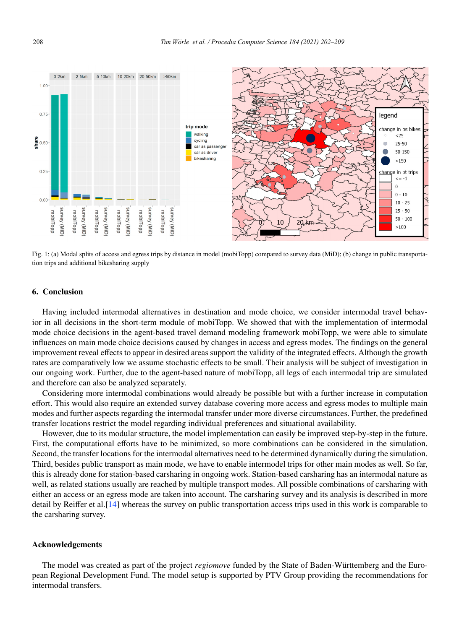

Fig. 1: (a) Modal splits of access and egress trips by distance in model (mobiTopp) compared to survey data (MiD); (b) change in public transportation trips and additional bikesharing supply

#### 6. Conclusion

Having included intermodal alternatives in destination and mode choice, we consider intermodal travel behavior in all decisions in the short-term module of mobiTopp. We showed that with the implementation of intermodal mode choice decisions in the agent-based travel demand modeling framework mobiTopp, we were able to simulate influences on main mode choice decisions caused by changes in access and egress modes. The findings on the general improvement reveal effects to appear in desired areas support the validity of the integrated effects. Although the growth rates are comparatively low we assume stochastic effects to be small. Their analysis will be subject of investigation in our ongoing work. Further, due to the agent-based nature of mobiTopp, all legs of each intermodal trip are simulated and therefore can also be analyzed separately.

Considering more intermodal combinations would already be possible but with a further increase in computation effort. This would also require an extended survey database covering more access and egress modes to multiple main modes and further aspects regarding the intermodal transfer under more diverse circumstances. Further, the predefined transfer locations restrict the model regarding individual preferences and situational availability.

However, due to its modular structure, the model implementation can easily be improved step-by-step in the future. First, the computational efforts have to be minimized, so more combinations can be considered in the simulation. Second, the transfer locations for the intermodal alternatives need to be determined dynamically during the simulation. Third, besides public transport as main mode, we have to enable intermodel trips for other main modes as well. So far, this is already done for station-based carsharing in ongoing work. Station-based carsharing has an intermodal nature as well, as related stations usually are reached by multiple transport modes. All possible combinations of carsharing with either an access or an egress mode are taken into account. The carsharing survey and its analysis is described in more detail by Reiffer et al.[14] whereas the survey on public transportation access trips used in this work is comparable to the carsharing survey.

#### Acknowledgements

The model was created as part of the project *regiomove* funded by the State of Baden-Württemberg and the European Regional Development Fund. The model setup is supported by PTV Group providing the recommendations for intermodal transfers.